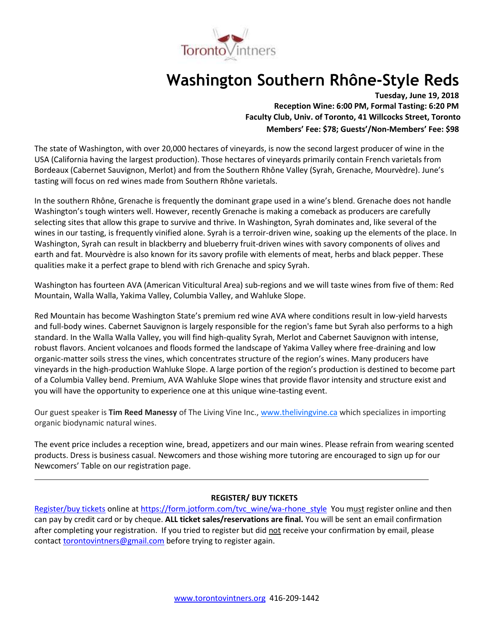

# **Washington Southern Rhône-Style Reds**

**Tuesday, June 19, 2018 Reception Wine: 6:00 PM, Formal Tasting: 6:20 PM Faculty Club, Univ. of Toronto, 41 Willcocks Street, Toronto Members' Fee: \$78; Guests'/Non-Members' Fee: \$98**

The state of Washington, with over 20,000 hectares of vineyards, is now the second largest producer of wine in the USA (California having the largest production). Those hectares of vineyards primarily contain French varietals from Bordeaux (Cabernet Sauvignon, Merlot) and from the Southern Rhône Valley (Syrah, Grenache, Mourvèdre). June's tasting will focus on red wines made from Southern Rhône varietals.

In the southern Rhône, Grenache is frequently the dominant grape used in a wine's blend. Grenache does not handle Washington's tough winters well. However, recently Grenache is making a comeback as producers are carefully selecting sites that allow this grape to survive and thrive. In Washington, Syrah dominates and, like several of the wines in our tasting, is frequently vinified alone. Syrah is a terroir-driven wine, soaking up the elements of the place. In Washington, Syrah can result in blackberry and blueberry fruit-driven wines with savory components of olives and earth and fat. Mourvèdre is also known for its savory profile with elements of meat, herbs and black pepper. These qualities make it a perfect grape to blend with rich Grenache and spicy Syrah.

Washington has fourteen AVA (American Viticultural Area) sub-regions and we will taste wines from five of them: Red Mountain, Walla Walla, Yakima Valley, Columbia Valley, and Wahluke Slope.

Red Mountain has become Washington State's premium red wine AVA where conditions result in low-yield harvests and full-body wines. Cabernet Sauvignon is largely responsible for the region's fame but Syrah also performs to a high standard. In the Walla Walla Valley, you will find high-quality Syrah, Merlot and Cabernet Sauvignon with intense, robust flavors. Ancient volcanoes and floods formed the landscape of Yakima Valley where free-draining and low organic-matter soils stress the vines, which concentrates structure of the region's wines. Many producers have vineyards in the high-production Wahluke Slope. A large portion of the region's production is destined to become part of a Columbia Valley bend. Premium, AVA Wahluke Slope wines that provide flavor intensity and structure exist and you will have the opportunity to experience one at this unique wine-tasting event.

Our guest speaker is **Tim Reed Manessy** of The Living Vine Inc., [www.thelivingvine.ca](http://www.thelivingvine.ca/) which specializes in importing organic biodynamic natural wines.

The event price includes a reception wine, bread, appetizers and our main wines. Please refrain from wearing scented products. Dress is business casual. Newcomers and those wishing more tutoring are encouraged to sign up for our Newcomers' Table on our registration page.

# **REGISTER/ BUY TICKETS**

[Register/buy tickets](https://form.jotform.com/tvc_wine/wa-rhone_style) online at [https://form.jotform.com/tvc\\_wine/wa-rhone\\_style](https://form.jotform.com/tvc_wine/wa-rhone_style) You must register online and then can pay by credit card or by cheque. **ALL ticket sales/reservations are final.** You will be sent an email confirmation after completing your registration. If you tried to register but did not receive your confirmation by email, please contact [torontovintners@gmail.com](mailto:torontovintners@gmail.com) before trying to register again.